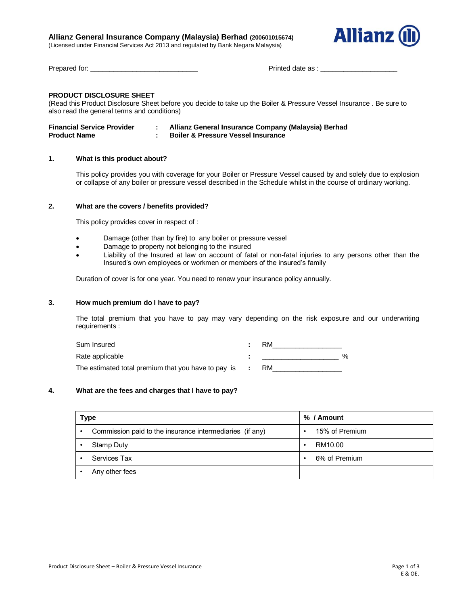## **Allianz General Insurance Company (Malaysia) Berhad (200601015674)**

(Licensed under Financial Services Act 2013 and regulated by Bank Negara Malaysia)



Prepared for: \_\_\_\_\_\_\_\_\_\_\_\_\_\_\_\_\_\_\_\_\_\_\_\_\_\_\_\_ Printed date as : \_\_\_\_\_\_\_\_\_\_\_\_\_\_\_\_\_\_\_\_

# **PRODUCT DISCLOSURE SHEET**

(Read this Product Disclosure Sheet before you decide to take up the Boiler & Pressure Vessel Insurance . Be sure to also read the general terms and conditions)

| <b>Financial Service Provider</b> | Allianz General Insurance Company (Malaysia) Berhad |
|-----------------------------------|-----------------------------------------------------|
| <b>Product Name</b>               | <b>Boiler &amp; Pressure Vessel Insurance</b>       |

### **1. What is this product about?**

This policy provides you with coverage for your Boiler or Pressure Vessel caused by and solely due to explosion or collapse of any boiler or pressure vessel described in the Schedule whilst in the course of ordinary working.

### **2. What are the covers / benefits provided?**

This policy provides cover in respect of :

- Damage (other than by fire) to any boiler or pressure vessel
- Damage to property not belonging to the insured
- Liability of the Insured at law on account of fatal or non-fatal injuries to any persons other than the Insured's own employees or workmen or members of the insured's family

Duration of cover is for one year. You need to renew your insurance policy annually.

## **3. How much premium do I have to pay?**

The total premium that you have to pay may vary depending on the risk exposure and our underwriting requirements :

| Sum Insured                                         | RM |      |
|-----------------------------------------------------|----|------|
| Rate applicable                                     |    | $\%$ |
| The estimated total premium that you have to pay is | RM |      |

### **4. What are the fees and charges that I have to pay?**

| Type                                                     | % / Amount     |
|----------------------------------------------------------|----------------|
| Commission paid to the insurance intermediaries (if any) | 15% of Premium |
| <b>Stamp Duty</b>                                        | RM10.00<br>٠   |
| Services Tax                                             | 6% of Premium  |
| Any other fees                                           |                |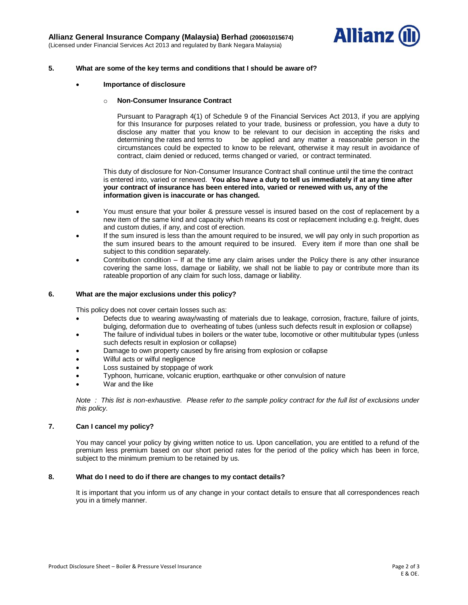

### **5. What are some of the key terms and conditions that I should be aware of?**

**Importance of disclosure** 

#### o **Non-Consumer Insurance Contract**

Pursuant to Paragraph 4(1) of Schedule 9 of the Financial Services Act 2013, if you are applying for this Insurance for purposes related to your trade, business or profession, you have a duty to disclose any matter that you know to be relevant to our decision in accepting the risks and determining the rates and terms to be applied and any matter a reasonable person in the circumstances could be expected to know to be relevant, otherwise it may result in avoidance of contract, claim denied or reduced, terms changed or varied, or contract terminated.

This duty of disclosure for Non-Consumer Insurance Contract shall continue until the time the contract is entered into, varied or renewed. **You also have a duty to tell us immediately if at any time after your contract of insurance has been entered into, varied or renewed with us, any of the information given is inaccurate or has changed.**

- You must ensure that your boiler & pressure vessel is insured based on the cost of replacement by a new item of the same kind and capacity which means its cost or replacement including e.g. freight, dues and custom duties, if any, and cost of erection.
- If the sum insured is less than the amount required to be insured, we will pay only in such proportion as the sum insured bears to the amount required to be insured. Every item if more than one shall be subject to this condition separately.
- Contribution condition If at the time any claim arises under the Policy there is any other insurance covering the same loss, damage or liability, we shall not be liable to pay or contribute more than its rateable proportion of any claim for such loss, damage or liability.

#### **6. What are the major exclusions under this policy?**

This policy does not cover certain losses such as:

- Defects due to wearing away/wasting of materials due to leakage, corrosion, fracture, failure of joints, bulging, deformation due to overheating of tubes (unless such defects result in explosion or collapse)
- The failure of individual tubes in boilers or the water tube, locomotive or other multitubular types (unless such defects result in explosion or collapse)
- Damage to own property caused by fire arising from explosion or collapse
- Wilful acts or wilful negligence
- Loss sustained by stoppage of work
- Typhoon, hurricane, volcanic eruption, earthquake or other convulsion of nature
- War and the like

*Note : This list is non-exhaustive. Please refer to the sample policy contract for the full list of exclusions under this policy.*

## **7. Can I cancel my policy?**

You may cancel your policy by giving written notice to us. Upon cancellation, you are entitled to a refund of the premium less premium based on our short period rates for the period of the policy which has been in force, subject to the minimum premium to be retained by us.

#### **8. What do I need to do if there are changes to my contact details?**

It is important that you inform us of any change in your contact details to ensure that all correspondences reach you in a timely manner.